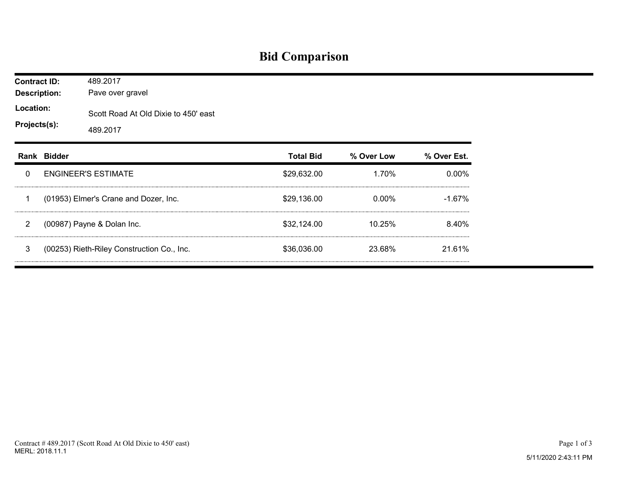## **Bid Comparison**

| <b>Contract ID:</b><br><b>Description:</b> |             | 489.2017<br>Pave over gravel                     |                  |            |             |  |  |  |  |
|--------------------------------------------|-------------|--------------------------------------------------|------------------|------------|-------------|--|--|--|--|
| Location:<br>Projects(s):                  |             | Scott Road At Old Dixie to 450' east<br>489.2017 |                  |            |             |  |  |  |  |
|                                            | Rank Bidder |                                                  | <b>Total Bid</b> | % Over Low | % Over Est. |  |  |  |  |
| 0                                          |             | <b>ENGINEER'S ESTIMATE</b>                       | \$29,632.00      | 1.70%      | 0.00%       |  |  |  |  |
| 1                                          |             | (01953) Elmer's Crane and Dozer, Inc.            | \$29,136.00      | $0.00\%$   | $-1.67%$    |  |  |  |  |
| $\overline{2}$                             |             | (00987) Payne & Dolan Inc.                       | \$32,124.00      | 10.25%     | 8.40%       |  |  |  |  |
| 3                                          |             | (00253) Rieth-Riley Construction Co., Inc.       | \$36,036.00      | 23.68%     | 21.61%      |  |  |  |  |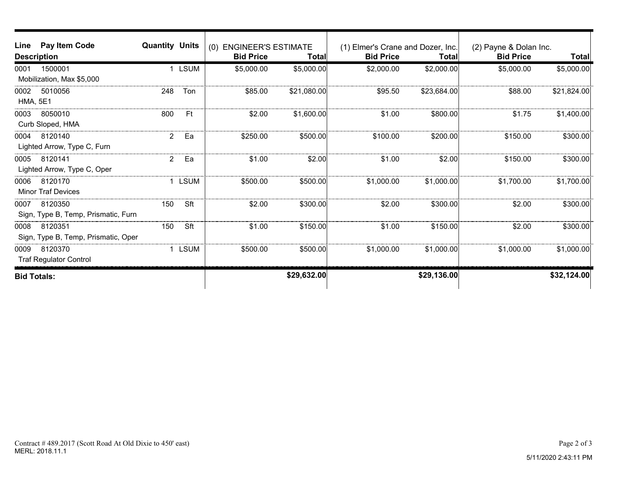| Line                    | Pay Item Code                                  | <b>Quantity Units</b> |             | <b>ENGINEER'S ESTIMATE</b><br>(0) |             | (1) Elmer's Crane and Dozer, Inc. |              | (2) Payne & Dolan Inc. |             |
|-------------------------|------------------------------------------------|-----------------------|-------------|-----------------------------------|-------------|-----------------------------------|--------------|------------------------|-------------|
| <b>Description</b>      |                                                | <b>Bid Price</b>      | Total       | <b>Bid Price</b>                  | Total       | <b>Bid Price</b>                  | <b>Total</b> |                        |             |
| 0001                    | 1500001<br>Mobilization, Max \$5,000           | $\mathbf{1}$          | <b>LSUM</b> | \$5,000.00                        | \$5,000.00  | \$2,000.00                        | \$2,000.00   | \$5,000.00             | \$5,000.00] |
| 0002<br><b>HMA, 5E1</b> | 5010056                                        | 248                   | Ton         | \$85.00                           | \$21,080.00 | \$95.50                           | \$23,684.00  | \$88.00                | \$21,824.00 |
| 0003                    | 8050010<br>Curb Sloped, HMA                    | 800                   | Ft          | \$2.00                            | \$1,600.00  | \$1.00                            | \$800.00     | \$1.75                 | \$1,400.00  |
| 0004                    | 8120140<br>Lighted Arrow, Type C, Furn         | $\overline{2}$        | Ea          | \$250.00                          | \$500.00    | \$100.00                          | \$200.00     | \$150.00               | \$300.00]   |
| 0005                    | 8120141<br>Lighted Arrow, Type C, Oper         | $\overline{2}$        | Ea          | \$1.00                            | \$2.00      | \$1.00                            | \$2.00       | \$150.00               | \$300.00    |
| 0006                    | 8120170<br><b>Minor Traf Devices</b>           | 1                     | <b>LSUM</b> | \$500.00                          | \$500.00    | \$1,000.00                        | \$1,000.00]  | \$1,700.00             | \$1,700.00  |
| 0007                    | 8120350<br>Sign, Type B, Temp, Prismatic, Furn | 150                   | Sft         | \$2.00                            | \$300.00    | \$2.00                            | \$300.00     | \$2.00                 | \$300.00    |
| 0008                    | 8120351<br>Sign, Type B, Temp, Prismatic, Oper | 150                   | Sft         | \$1.00                            | \$150.00    | \$1.00                            | \$150.00     | \$2.00                 | \$300.00]   |
| 0009                    | 8120370<br><b>Traf Regulator Control</b>       | 1                     | <b>LSUM</b> | \$500.00                          | \$500.00    | \$1,000.00                        | \$1,000.00]  | \$1,000.00             | \$1,000.00  |
| <b>Bid Totals:</b>      |                                                |                       |             |                                   | \$29,632.00 |                                   | \$29,136.00  |                        | \$32,124.00 |